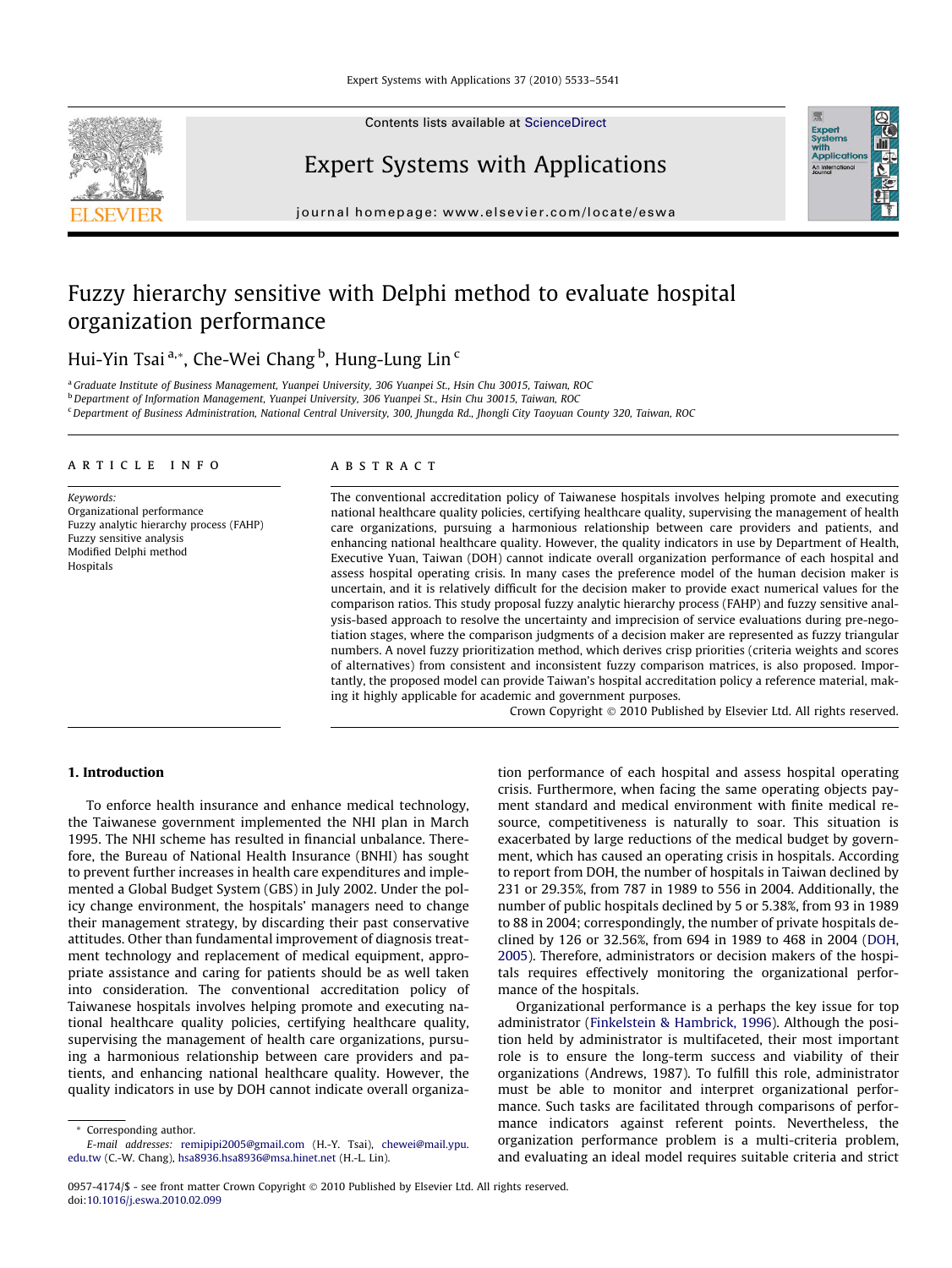Contents lists available at [ScienceDirect](http://www.sciencedirect.com/science/journal/09574174)

### Expert Systems with Applications

journal homepage: [www.elsevier.com/locate/eswa](http://www.elsevier.com/locate/eswa)

Expert<br>Systems<br>with<br>Applicati

## Fuzzy hierarchy sensitive with Delphi method to evaluate hospital organization performance

Hui-Yin Tsai <sup>a,</sup>\*, Che-Wei Chang <sup>b</sup>, Hung-Lung Lin <sup>c</sup>

<sup>a</sup>Graduate Institute of Business Management, Yuanpei University, 306 Yuanpei St., Hsin Chu 30015, Taiwan, ROC

<sup>b</sup> Department of Information Management, Yuanpei University, 306 Yuanpei St., Hsin Chu 30015, Taiwan, ROC

<sup>c</sup> Department of Business Administration, National Central University, 300, Jhungda Rd., Jhongli City Taoyuan County 320, Taiwan, ROC

### article info

Keywords: Organizational performance Fuzzy analytic hierarchy process (FAHP) Fuzzy sensitive analysis Modified Delphi method Hospitals

### **ABSTRACT**

The conventional accreditation policy of Taiwanese hospitals involves helping promote and executing national healthcare quality policies, certifying healthcare quality, supervising the management of health care organizations, pursuing a harmonious relationship between care providers and patients, and enhancing national healthcare quality. However, the quality indicators in use by Department of Health, Executive Yuan, Taiwan (DOH) cannot indicate overall organization performance of each hospital and assess hospital operating crisis. In many cases the preference model of the human decision maker is uncertain, and it is relatively difficult for the decision maker to provide exact numerical values for the comparison ratios. This study proposal fuzzy analytic hierarchy process (FAHP) and fuzzy sensitive analysis-based approach to resolve the uncertainty and imprecision of service evaluations during pre-negotiation stages, where the comparison judgments of a decision maker are represented as fuzzy triangular numbers. A novel fuzzy prioritization method, which derives crisp priorities (criteria weights and scores of alternatives) from consistent and inconsistent fuzzy comparison matrices, is also proposed. Importantly, the proposed model can provide Taiwan's hospital accreditation policy a reference material, making it highly applicable for academic and government purposes.

Crown Copyright © 2010 Published by Elsevier Ltd. All rights reserved.

### 1. Introduction

To enforce health insurance and enhance medical technology, the Taiwanese government implemented the NHI plan in March 1995. The NHI scheme has resulted in financial unbalance. Therefore, the Bureau of National Health Insurance (BNHI) has sought to prevent further increases in health care expenditures and implemented a Global Budget System (GBS) in July 2002. Under the policy change environment, the hospitals' managers need to change their management strategy, by discarding their past conservative attitudes. Other than fundamental improvement of diagnosis treatment technology and replacement of medical equipment, appropriate assistance and caring for patients should be as well taken into consideration. The conventional accreditation policy of Taiwanese hospitals involves helping promote and executing national healthcare quality policies, certifying healthcare quality, supervising the management of health care organizations, pursuing a harmonious relationship between care providers and patients, and enhancing national healthcare quality. However, the quality indicators in use by DOH cannot indicate overall organiza-

Corresponding author.

tion performance of each hospital and assess hospital operating crisis. Furthermore, when facing the same operating objects payment standard and medical environment with finite medical resource, competitiveness is naturally to soar. This situation is exacerbated by large reductions of the medical budget by government, which has caused an operating crisis in hospitals. According to report from DOH, the number of hospitals in Taiwan declined by 231 or 29.35%, from 787 in 1989 to 556 in 2004. Additionally, the number of public hospitals declined by 5 or 5.38%, from 93 in 1989 to 88 in 2004; correspondingly, the number of private hospitals declined by 126 or 32.56%, from 694 in 1989 to 468 in 2004 ([DOH,](#page--1-0) [2005](#page--1-0)). Therefore, administrators or decision makers of the hospitals requires effectively monitoring the organizational performance of the hospitals.

Organizational performance is a perhaps the key issue for top administrator [\(Finkelstein & Hambrick, 1996\)](#page--1-0). Although the position held by administrator is multifaceted, their most important role is to ensure the long-term success and viability of their organizations (Andrews, 1987). To fulfill this role, administrator must be able to monitor and interpret organizational performance. Such tasks are facilitated through comparisons of performance indicators against referent points. Nevertheless, the organization performance problem is a multi-criteria problem, and evaluating an ideal model requires suitable criteria and strict

E-mail addresses: [remipipi2005@gmail.com](mailto:remipipi2005@gmail.com) (H.-Y. Tsai), [chewei@mail.ypu.](mailto:chewei@mail.ypu. edu.tw) [edu.tw](mailto:chewei@mail.ypu. edu.tw) (C.-W. Chang), [hsa8936.hsa8936@msa.hinet.net](mailto:hsa8936.hsa8936@msa.hinet.net) (H.-L. Lin).

<sup>0957-4174/\$ -</sup> see front matter Crown Copyright © 2010 Published by Elsevier Ltd. All rights reserved. doi[:10.1016/j.eswa.2010.02.099](http://dx.doi.org/10.1016/j.eswa.2010.02.099)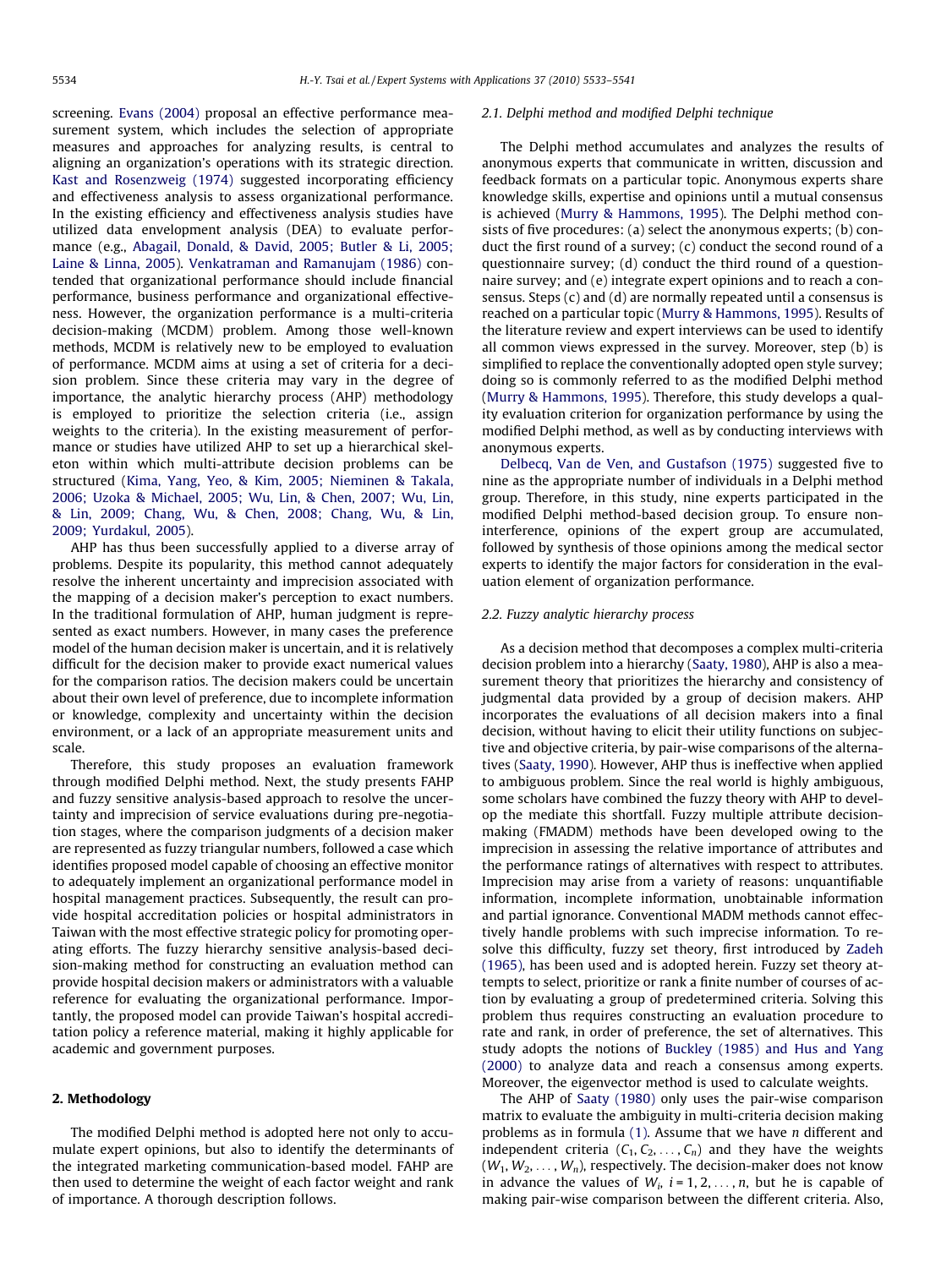screening. [Evans \(2004\)](#page--1-0) proposal an effective performance measurement system, which includes the selection of appropriate measures and approaches for analyzing results, is central to aligning an organization's operations with its strategic direction. [Kast and Rosenzweig \(1974\)](#page--1-0) suggested incorporating efficiency and effectiveness analysis to assess organizational performance. In the existing efficiency and effectiveness analysis studies have utilized data envelopment analysis (DEA) to evaluate performance (e.g., [Abagail, Donald, & David, 2005; Butler & Li, 2005;](#page--1-0) [Laine & Linna, 2005\)](#page--1-0). [Venkatraman and Ramanujam \(1986\)](#page--1-0) contended that organizational performance should include financial performance, business performance and organizational effectiveness. However, the organization performance is a multi-criteria decision-making (MCDM) problem. Among those well-known methods, MCDM is relatively new to be employed to evaluation of performance. MCDM aims at using a set of criteria for a decision problem. Since these criteria may vary in the degree of importance, the analytic hierarchy process (AHP) methodology is employed to prioritize the selection criteria (i.e., assign weights to the criteria). In the existing measurement of performance or studies have utilized AHP to set up a hierarchical skeleton within which multi-attribute decision problems can be structured [\(Kima, Yang, Yeo, & Kim, 2005; Nieminen & Takala,](#page--1-0) [2006; Uzoka & Michael, 2005; Wu, Lin, & Chen, 2007; Wu, Lin,](#page--1-0) [& Lin, 2009; Chang, Wu, & Chen, 2008; Chang, Wu, & Lin,](#page--1-0) [2009; Yurdakul, 2005](#page--1-0)).

AHP has thus been successfully applied to a diverse array of problems. Despite its popularity, this method cannot adequately resolve the inherent uncertainty and imprecision associated with the mapping of a decision maker's perception to exact numbers. In the traditional formulation of AHP, human judgment is represented as exact numbers. However, in many cases the preference model of the human decision maker is uncertain, and it is relatively difficult for the decision maker to provide exact numerical values for the comparison ratios. The decision makers could be uncertain about their own level of preference, due to incomplete information or knowledge, complexity and uncertainty within the decision environment, or a lack of an appropriate measurement units and scale.

Therefore, this study proposes an evaluation framework through modified Delphi method. Next, the study presents FAHP and fuzzy sensitive analysis-based approach to resolve the uncertainty and imprecision of service evaluations during pre-negotiation stages, where the comparison judgments of a decision maker are represented as fuzzy triangular numbers, followed a case which identifies proposed model capable of choosing an effective monitor to adequately implement an organizational performance model in hospital management practices. Subsequently, the result can provide hospital accreditation policies or hospital administrators in Taiwan with the most effective strategic policy for promoting operating efforts. The fuzzy hierarchy sensitive analysis-based decision-making method for constructing an evaluation method can provide hospital decision makers or administrators with a valuable reference for evaluating the organizational performance. Importantly, the proposed model can provide Taiwan's hospital accreditation policy a reference material, making it highly applicable for academic and government purposes.

### 2. Methodology

The modified Delphi method is adopted here not only to accumulate expert opinions, but also to identify the determinants of the integrated marketing communication-based model. FAHP are then used to determine the weight of each factor weight and rank of importance. A thorough description follows.

#### 2.1. Delphi method and modified Delphi technique

The Delphi method accumulates and analyzes the results of anonymous experts that communicate in written, discussion and feedback formats on a particular topic. Anonymous experts share knowledge skills, expertise and opinions until a mutual consensus is achieved ([Murry & Hammons, 1995\)](#page--1-0). The Delphi method consists of five procedures: (a) select the anonymous experts; (b) conduct the first round of a survey; (c) conduct the second round of a questionnaire survey; (d) conduct the third round of a questionnaire survey; and (e) integrate expert opinions and to reach a consensus. Steps (c) and (d) are normally repeated until a consensus is reached on a particular topic [\(Murry & Hammons, 1995](#page--1-0)). Results of the literature review and expert interviews can be used to identify all common views expressed in the survey. Moreover, step (b) is simplified to replace the conventionally adopted open style survey; doing so is commonly referred to as the modified Delphi method ([Murry & Hammons, 1995\)](#page--1-0). Therefore, this study develops a quality evaluation criterion for organization performance by using the modified Delphi method, as well as by conducting interviews with anonymous experts.

[Delbecq, Van de Ven, and Gustafson \(1975\)](#page--1-0) suggested five to nine as the appropriate number of individuals in a Delphi method group. Therefore, in this study, nine experts participated in the modified Delphi method-based decision group. To ensure noninterference, opinions of the expert group are accumulated, followed by synthesis of those opinions among the medical sector experts to identify the major factors for consideration in the evaluation element of organization performance.

#### 2.2. Fuzzy analytic hierarchy process

As a decision method that decomposes a complex multi-criteria decision problem into a hierarchy [\(Saaty, 1980\)](#page--1-0), AHP is also a measurement theory that prioritizes the hierarchy and consistency of judgmental data provided by a group of decision makers. AHP incorporates the evaluations of all decision makers into a final decision, without having to elicit their utility functions on subjective and objective criteria, by pair-wise comparisons of the alternatives ([Saaty, 1990](#page--1-0)). However, AHP thus is ineffective when applied to ambiguous problem. Since the real world is highly ambiguous, some scholars have combined the fuzzy theory with AHP to develop the mediate this shortfall. Fuzzy multiple attribute decisionmaking (FMADM) methods have been developed owing to the imprecision in assessing the relative importance of attributes and the performance ratings of alternatives with respect to attributes. Imprecision may arise from a variety of reasons: unquantifiable information, incomplete information, unobtainable information and partial ignorance. Conventional MADM methods cannot effectively handle problems with such imprecise information. To resolve this difficulty, fuzzy set theory, first introduced by [Zadeh](#page--1-0) [\(1965\),](#page--1-0) has been used and is adopted herein. Fuzzy set theory attempts to select, prioritize or rank a finite number of courses of action by evaluating a group of predetermined criteria. Solving this problem thus requires constructing an evaluation procedure to rate and rank, in order of preference, the set of alternatives. This study adopts the notions of [Buckley \(1985\) and Hus and Yang](#page--1-0) [\(2000\)](#page--1-0) to analyze data and reach a consensus among experts. Moreover, the eigenvector method is used to calculate weights.

The AHP of [Saaty \(1980\)](#page--1-0) only uses the pair-wise comparison matrix to evaluate the ambiguity in multi-criteria decision making problems as in formula  $(1)$ . Assume that we have  $n$  different and independent criteria  $(C_1, C_2, \ldots, C_n)$  and they have the weights  $(W_1, W_2, \ldots, W_n)$ , respectively. The decision-maker does not know in advance the values of  $W_i$ ,  $i = 1, 2, ..., n$ , but he is capable of making pair-wise comparison between the different criteria. Also,